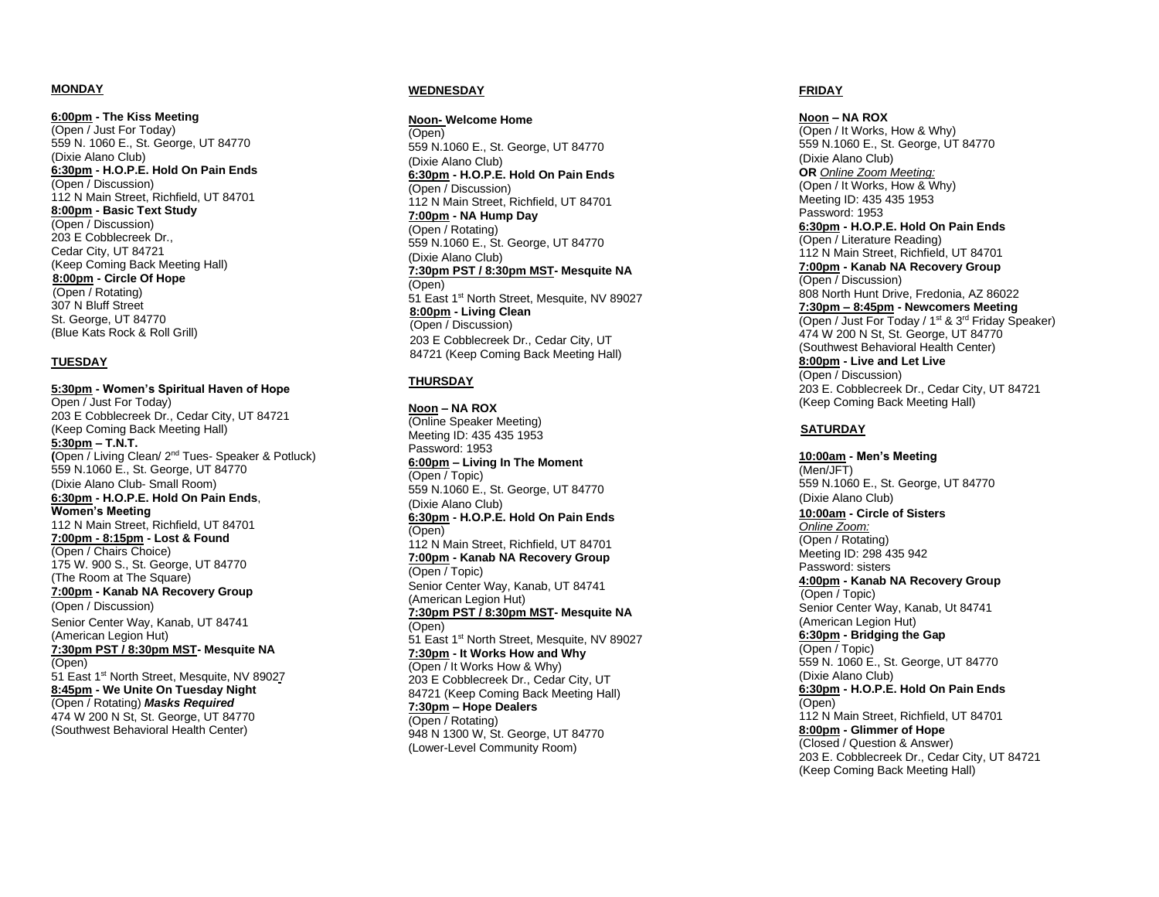#### **MONDAY**

**6:00pm - The Kiss Meeting**  (Open / Just For Today) 559 N. 1060 E., St. George, UT 84770 (Dixie Alano Club) **6:30pm - H.O.P.E. Hold On Pain Ends** (Open / Discussion) 112 N Main Street, Richfield, UT 84701 **8:00pm - Basic Text Study**  (Open / Discussion) 203 E Cobblecreek Dr., Cedar City, UT 84721 (Keep Coming Back Meeting Hall) **8:00pm - Circle Of Hope** (Open / Rotating) 307 N Bluff Street St. George, UT 84770 (Blue Kats Rock & Roll Grill )

#### **TUESDAY**

**5:30pm - Women's Spiritual Haven of Hope** Open / Just For Today) 203 E Cobblecreek Dr., Cedar City, UT 84721 (Keep Coming Back Meeting Hall) **5:30pm – T.N.T. (**Open / Living Clean/ 2nd Tues- Speaker & Potluck ) 559 N.1060 E., St. George, UT 84770 (Dixie Alano Club - Small Room) **6:30pm - H.O.P.E. Hold On Pain Ends** , **Women's Meeting** 112 N Main Street, Richfield, UT 84701 **7:00pm - 8:15pm - Lost & Found** (Open / Chairs Choice) 175 W. 900 S., St. George, UT 84770 (The Room at The Square) **7:00pm - Kanab NA Recovery Group** (Open / Discussion) Senior Center Way, Kanab, UT 84741 (American Legion Hut) **7:30pm PST / 8:30pm MST - Mesquite NA** (Open) 51 East 1st North Street, Mesquite, NV 89027 **8:45pm - We Unite On Tuesday Night**  (Open / Rotating ) *Masks Required* 474 W 200 N St, St. George, UT 84770 (Southwest Behavioral Health Center)

#### **WEDNESDAY**

**Noon - Welcome Home** (Open ) 559 N.1060 E., St. George, UT 84770 (Dixie Alano Club) **6:30pm - H.O.P.E. Hold On Pain Ends** (Open / Discussion) 112 N Main Street, Richfield, UT 84701 **7:00pm - NA Hump Day** (Open / Rotating ) 559 N.1060 E., St. George, UT 84770 (Dixie Alano Club) **7:30pm PST / 8:30pm MST - Mesquite NA** (Open) 51 East 1<sup>st</sup> North Street, Mesquite, NV 89027 **8:00pm - Living Clean**  (Open / Discussion) 203 E Cobblecreek Dr. , Cedar City, UT 84721 (Keep Coming Back Meeting Hall)

#### **THURSDAY**

**Noon – NA ROX** (Online Speaker Meeting) Meeting ID: 435 435 1953 Password: 1953 **6:00pm – Living In The Moment** (Open / Topic ) 559 N.1060 E., St. George, UT 84770 (Dixie Alano Club) **6:30pm - H.O.P.E. Hold On Pain Ends** (Open ) 112 N Main Street, Richfield, UT 84701 **7:00pm - Kanab NA Recovery Group** (Open / Topic) Senior Center Way, Kanab, UT 84741 (American Legion Hut) **7:30pm PST / 8:30pm MST - Mesquite NA** (Open) 51 East 1<sup>st</sup> North Street, Mesquite, NV 89027 **7:30pm - It Works How and Why** (Open / It Works How & Why) 203 E Cobblecreek Dr. , Cedar City, UT 84721 (Keep Coming Back Meeting Hall) **7:30pm – Hope Dealers** (Open / Rotating ) 948 N 1300 W, St. George, UT 84770 (Lower -Level Community Room)

#### **FRIDAY**

**Noon – NA ROX** (Open / It Works, How & Why) 559 N.1060 E., St. George, UT 84770 (Dixie Alano Club) **OR** *Online Zoom Meeting :* (Open / It Works, How & Why) Meeting ID: 435 435 1953 Password: 1953 **6:30pm - H.O.P.E. Hold On Pain Ends** (Open / Literature Reading ) 112 N Main Street, Richfield, UT 84701 **7:00pm - Kanab NA Recovery Group** (Open / Discussion) 808 North Hunt Drive, Fredonia, AZ 86022 **7:30pm – 8:45pm - Newcomers Meeting** (Open / Just For Today / 1st & 3rd Friday Speaker) 474 W 200 N St, St. George, UT 84770 (Southwest Behavioral Health Center) **8:00pm - Live and Let Live**  (Open / Discussion) 203 E. Cobblecreek Dr., Cedar City, UT 84721 (Keep Coming Back Meeting Hall)

#### **SATURDAY**

**10:00am - Men's Meeting**  (Men/JFT) 559 N.1060 E., St. George, UT 84770 (Dixie Alano Club) **10:00am - Circle of Sisters** *Online Zoom:* (Open / Rotating ) Meeting ID: 298 435 942 Password: sisters **4:00pm - Kanab NA Recovery Group** (Open / Topic) Senior Center Way, Kanab, Ut 84741 (American Legion Hut) **6:30pm - Bridging the Gap** (Open / Topic) 559 N. 1060 E., St. George, UT 84770 (Dixie Alano Club) **6:30pm - H.O.P.E. Hold On Pain Ends** (Open) 112 N Main Street, Richfield, UT 84701 **8:00pm - Glimmer of Hope** (Closed / Question & Answer) 203 E. Cobblecreek Dr., Cedar City, UT 84721 (Keep Coming Back Meeting Hall)